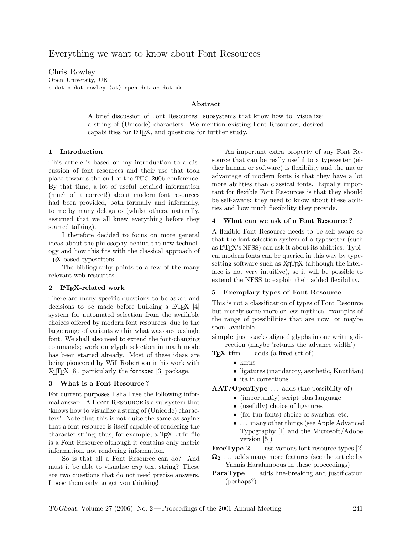# Everything we want to know about Font Resources

Chris Rowley Open University, UK c dot a dot rowley (at) open dot ac dot uk

### Abstract

A brief discussion of Font Resources: subsystems that know how to 'visualize' a string of (Unicode) characters. We mention existing Font Resources, desired capabilities for LATEX, and questions for further study.

### 1 Introduction

This article is based on my introduction to a discussion of font resources and their use that took place towards the end of the TUG 2006 conference. By that time, a lot of useful detailed information (much of it correct!) about modern font resources had been provided, both formally and informally, to me by many delegates (whilst others, naturally, assumed that we all knew everything before they started talking).

I therefore decided to focus on more general ideas about the philosophy behind the new technology and how this fits with the classical approach of TEX-based typesetters.

The bibliography points to a few of the many relevant web resources.

### 2 LAT<sub>F</sub>X-related work

There are many specific questions to be asked and decisions to be made before building a  $\text{LATEX}$  [\[4\]](#page-1-0) system for automated selection from the available choices offered by modern font resources, due to the large range of variants within what was once a single font. We shall also need to extend the font-changing commands; work on glyph selection in math mode has been started already. Most of these ideas are being pioneered by Will Robertson in his work with  $X \nexists F[X \; 8]$ , particularly the fontspec [\[3\]](#page-1-2) package.

#### 3 What is a Font Resource ?

For current purposes I shall use the following informal answer. A Font Resource is a subsystem that 'knows how to visualize a string of (Unicode) characters'. Note that this is not quite the same as saying that a font resource is itself capable of rendering the character string; thus, for example, a  $TFX$ .tfm file is a Font Resource although it contains only metric information, not rendering information.

So is that all a Font Resource can do? And must it be able to visualise any text string? These are two questions that do not need precise answers, I pose them only to get you thinking!

An important extra property of any Font Resource that can be really useful to a typesetter (either human or software) is flexibility and the major advantage of modern fonts is that they have a lot more abilities than classical fonts. Equally important for flexible Font Resources is that they should be self-aware: they need to know about these abilities and how much flexibility they provide.

#### 4 What can we ask of a Font Resource ?

A flexible Font Resource needs to be self-aware so that the font selection system of a typesetter (such as LATEX's NFSS) can ask it about its abilities. Typical modern fonts can be queried in this way by typesetting software such as X<sub>T</sub>T<sub>E</sub>X (although the interface is not very intuitive), so it will be possible to extend the NFSS to exploit their added flexibility.

#### 5 Exemplary types of Font Resource

This is not a classification of types of Font Resource but merely some more-or-less mythical examples of the range of possibilities that are now, or maybe soon, available.

simple just stacks aligned glyphs in one writing direction (maybe 'returns the advance width')

 $T_{F}X$  tfm  $\ldots$  adds (a fixed set of)

- kerns
- ligatures (mandatory, aesthetic, Knuthian)
- italic corrections

 $\bf{AAT/OpenType} \ldots \bf{ adds}$  (the possibility of)

- (importantly) script plus language
	- (usefully) choice of ligatures
	- (for fun fonts) choice of swashes, etc.
- ... many other things (see Apple Advanced Typography [\[1\]](#page-1-3) and the Microsoft/Adobe version [\[5\]](#page-1-4))

**FreeType 2**  $\ldots$  use various font resource types [\[2\]](#page-1-5)

 $\Omega_2$  ... adds many more features (see the article by Yannis Haralambous in these proceedings)

**ParaType** ... adds line-breaking and justification (perhaps?)